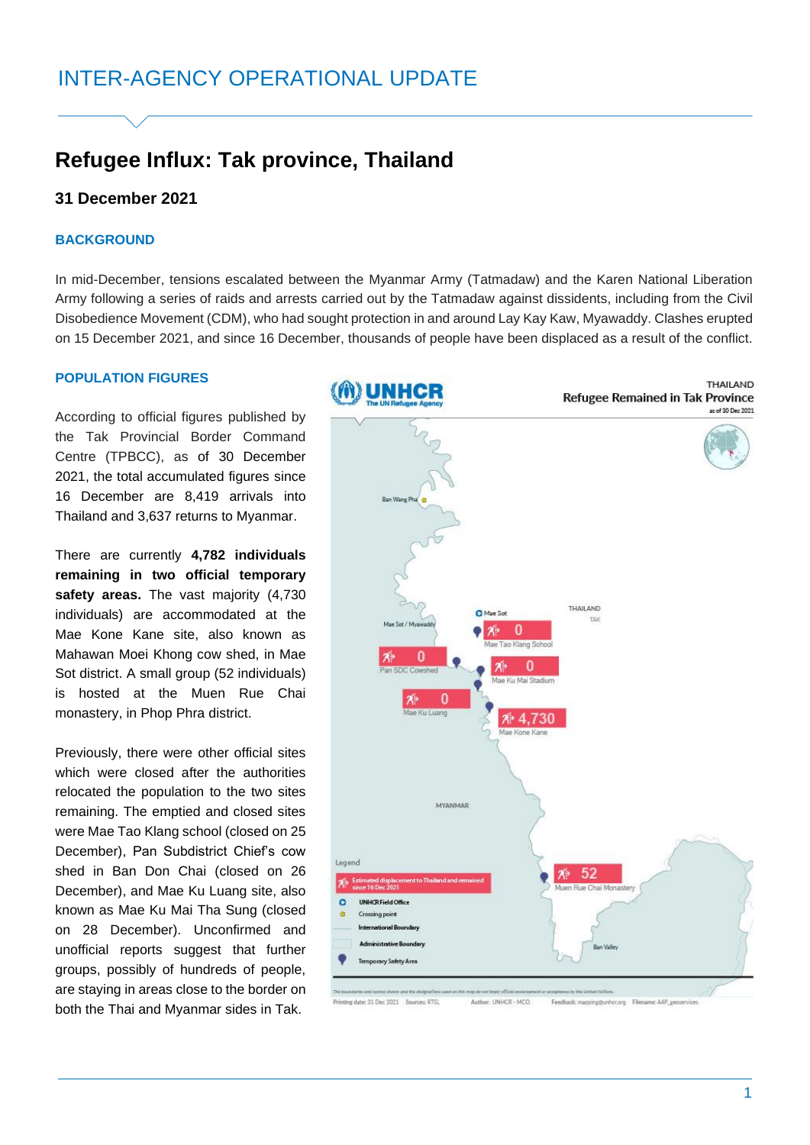# **Refugee Influx: Tak province, Thailand**

# **31 December 2021**

# **BACKGROUND**

In mid-December, tensions escalated between the Myanmar Army (Tatmadaw) and the Karen National Liberation Army following a series of raids and arrests carried out by the Tatmadaw against dissidents, including from the Civil Disobedience Movement (CDM), who had sought protection in and around Lay Kay Kaw, Myawaddy. Clashes erupted on 15 December 2021, and since 16 December, thousands of people have been displaced as a result of the conflict.

# **POPULATION FIGURES**

According to official figures published by the Tak Provincial Border Command Centre (TPBCC), as of 30 December 2021, the total accumulated figures since 16 December are 8,419 arrivals into Thailand and 3,637 returns to Myanmar.

There are currently **4,782 individuals remaining in two official temporary safety areas.** The vast majority (4,730 individuals) are accommodated at the Mae Kone Kane site, also known as Mahawan Moei Khong cow shed, in Mae Sot district. A small group (52 individuals) is hosted at the Muen Rue Chai monastery, in Phop Phra district.

Previously, there were other official sites which were closed after the authorities relocated the population to the two sites remaining. The emptied and closed sites were Mae Tao Klang school (closed on 25 December), Pan Subdistrict Chief's cow shed in Ban Don Chai (closed on 26 December), and Mae Ku Luang site, also known as Mae Ku Mai Tha Sung (closed on 28 December). Unconfirmed and unofficial reports suggest that further groups, possibly of hundreds of people, are staying in areas close to the border on both the Thai and Myanmar sides in Tak.

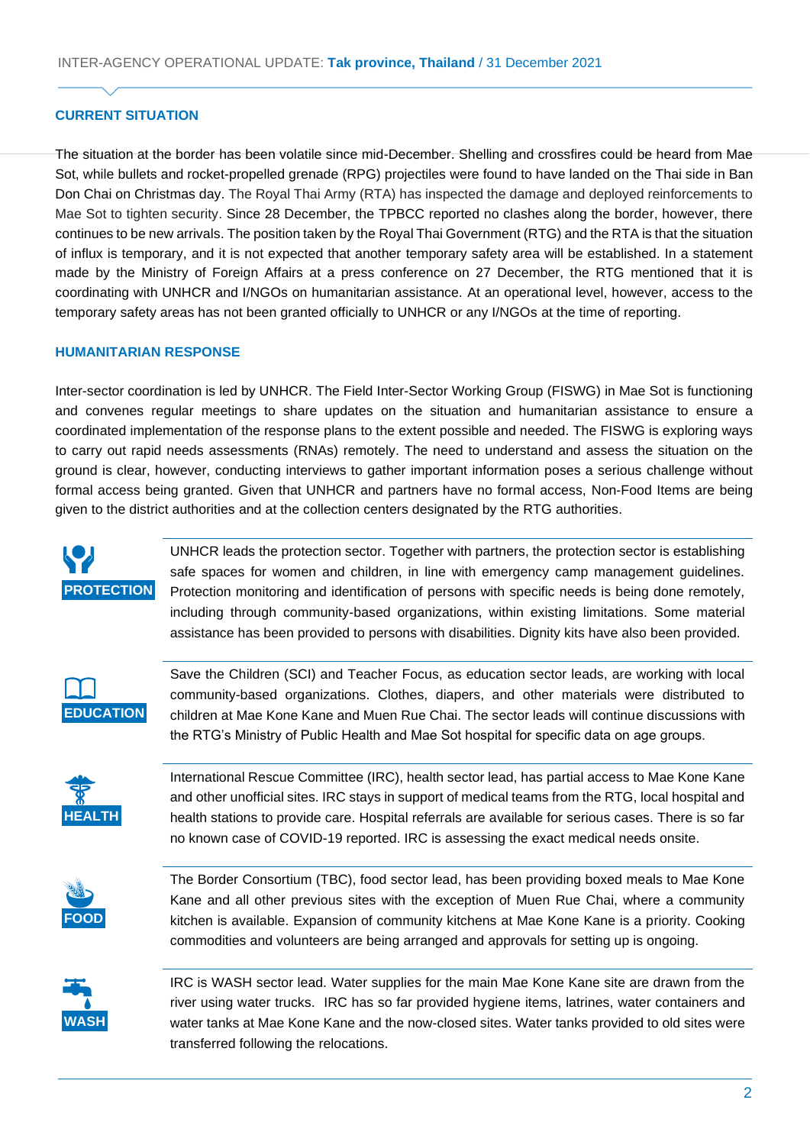# **CURRENT SITUATION**

The situation at the border has been volatile since mid-December. Shelling and crossfires could be heard from Mae Sot, while bullets and rocket-propelled grenade (RPG) projectiles were found to have landed on the Thai side in Ban Don Chai on Christmas day. The Royal Thai Army (RTA) has inspected the damage and deployed reinforcements to Mae Sot to tighten security. Since 28 December, the TPBCC reported no clashes along the border, however, there continues to be new arrivals. The position taken by the Royal Thai Government (RTG) and the RTA is that the situation of influx is temporary, and it is not expected that another temporary safety area will be established. In a statement made by the Ministry of Foreign Affairs at a press conference on 27 December, the RTG mentioned that it is coordinating with UNHCR and I/NGOs on humanitarian assistance. At an operational level, however, access to the temporary safety areas has not been granted officially to UNHCR or any I/NGOs at the time of reporting.

#### **HUMANITARIAN RESPONSE**

Inter-sector coordination is led by UNHCR. The Field Inter-Sector Working Group (FISWG) in Mae Sot is functioning and convenes regular meetings to share updates on the situation and humanitarian assistance to ensure a coordinated implementation of the response plans to the extent possible and needed. The FISWG is exploring ways to carry out rapid needs assessments (RNAs) remotely. The need to understand and assess the situation on the ground is clear, however, conducting interviews to gather important information poses a serious challenge without formal access being granted. Given that UNHCR and partners have no formal access, Non-Food Items are being given to the district authorities and at the collection centers designated by the RTG authorities.



UNHCR leads the protection sector. Together with partners, the protection sector is establishing safe spaces for women and children, in line with emergency camp management guidelines. Protection monitoring and identification of persons with specific needs is being done remotely, including through community-based organizations, within existing limitations. Some material assistance has been provided to persons with disabilities. Dignity kits have also been provided.



Save the Children (SCI) and Teacher Focus, as education sector leads, are working with local community-based organizations. Clothes, diapers, and other materials were distributed to children at Mae Kone Kane and Muen Rue Chai. The sector leads will continue discussions with the RTG's Ministry of Public Health and Mae Sot hospital for specific data on age groups.



International Rescue Committee (IRC), health sector lead, has partial access to Mae Kone Kane and other unofficial sites. IRC stays in support of medical teams from the RTG, local hospital and health stations to provide care. Hospital referrals are available for serious cases. There is so far no known case of COVID-19 reported. IRC is assessing the exact medical needs onsite.



The Border Consortium (TBC), food sector lead, has been providing boxed meals to Mae Kone Kane and all other previous sites with the exception of Muen Rue Chai, where a community kitchen is available. Expansion of community kitchens at Mae Kone Kane is a priority. Cooking commodities and volunteers are being arranged and approvals for setting up is ongoing.



IRC is WASH sector lead. Water supplies for the main Mae Kone Kane site are drawn from the river using water trucks. IRC has so far provided hygiene items, latrines, water containers and water tanks at Mae Kone Kane and the now-closed sites. Water tanks provided to old sites were transferred following the relocations.